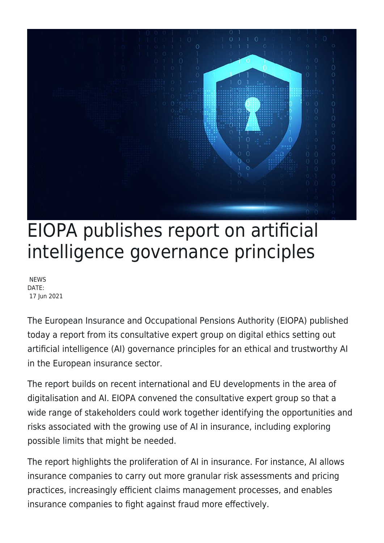

## EIOPA publishes report on artificial intelligence governance principles

**NEWS** DATE: 17 Jun 2021

The European Insurance and Occupational Pensions Authority (EIOPA) published today a report from its consultative expert group on digital ethics setting out artificial intelligence (AI) governance principles for an ethical and trustworthy AI in the European insurance sector.

The report builds on recent international and EU developments in the area of digitalisation and AI. EIOPA convened the consultative expert group so that a wide range of stakeholders could work together identifying the opportunities and risks associated with the growing use of AI in insurance, including exploring possible limits that might be needed.

The report highlights the proliferation of AI in insurance. For instance, AI allows insurance companies to carry out more granular risk assessments and pricing practices, increasingly efficient claims management processes, and enables insurance companies to fight against fraud more effectively.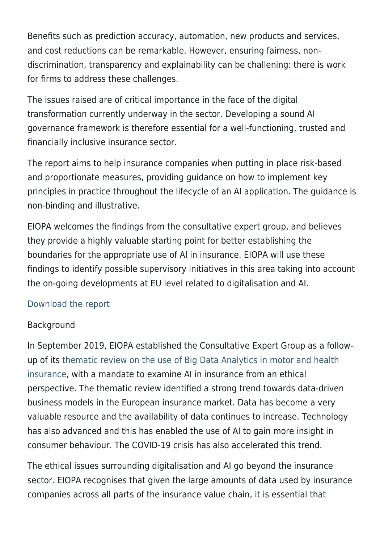Benefits such as prediction accuracy, automation, new products and services, and cost reductions can be remarkable. However, ensuring fairness, nondiscrimination, transparency and explainability can be challening: there is work for firms to address these challenges.

The issues raised are of critical importance in the face of the digital transformation currently underway in the sector. Developing a sound AI governance framework is therefore essential for a well-functioning, trusted and financially inclusive insurance sector.

The report aims to help insurance companies when putting in place risk-based and proportionate measures, providing guidance on how to implement key principles in practice throughout the lifecycle of an AI application. The guidance is non-binding and illustrative.

EIOPA welcomes the findings from the consultative expert group, and believes they provide a highly valuable starting point for better establishing the boundaries for the appropriate use of AI in insurance. EIOPA will use these findings to identify possible supervisory initiatives in this area taking into account the on-going developments at EU level related to digitalisation and AI.

## [Download the report](https://www.eiopa.europa.eu/sites/default/files/publications/reports/eiopa-ai-governance-principles-june-2021.pdf)

## Background

In September 2019, EIOPA established the Consultative Expert Group as a followup of its [thematic review on the use of Big Data Analytics in motor and health](https://register.eiopa.europa.eu/Publications/EIOPA_BigDataAnalytics_ThematicReview_April2019.pdf) [insurance](https://register.eiopa.europa.eu/Publications/EIOPA_BigDataAnalytics_ThematicReview_April2019.pdf), with a mandate to examine AI in insurance from an ethical perspective. The thematic review identified a strong trend towards data-driven business models in the European insurance market. Data has become a very valuable resource and the availability of data continues to increase. Technology has also advanced and this has enabled the use of AI to gain more insight in consumer behaviour. The COVID-19 crisis has also accelerated this trend.

The ethical issues surrounding digitalisation and AI go beyond the insurance sector. EIOPA recognises that given the large amounts of data used by insurance companies across all parts of the insurance value chain, it is essential that